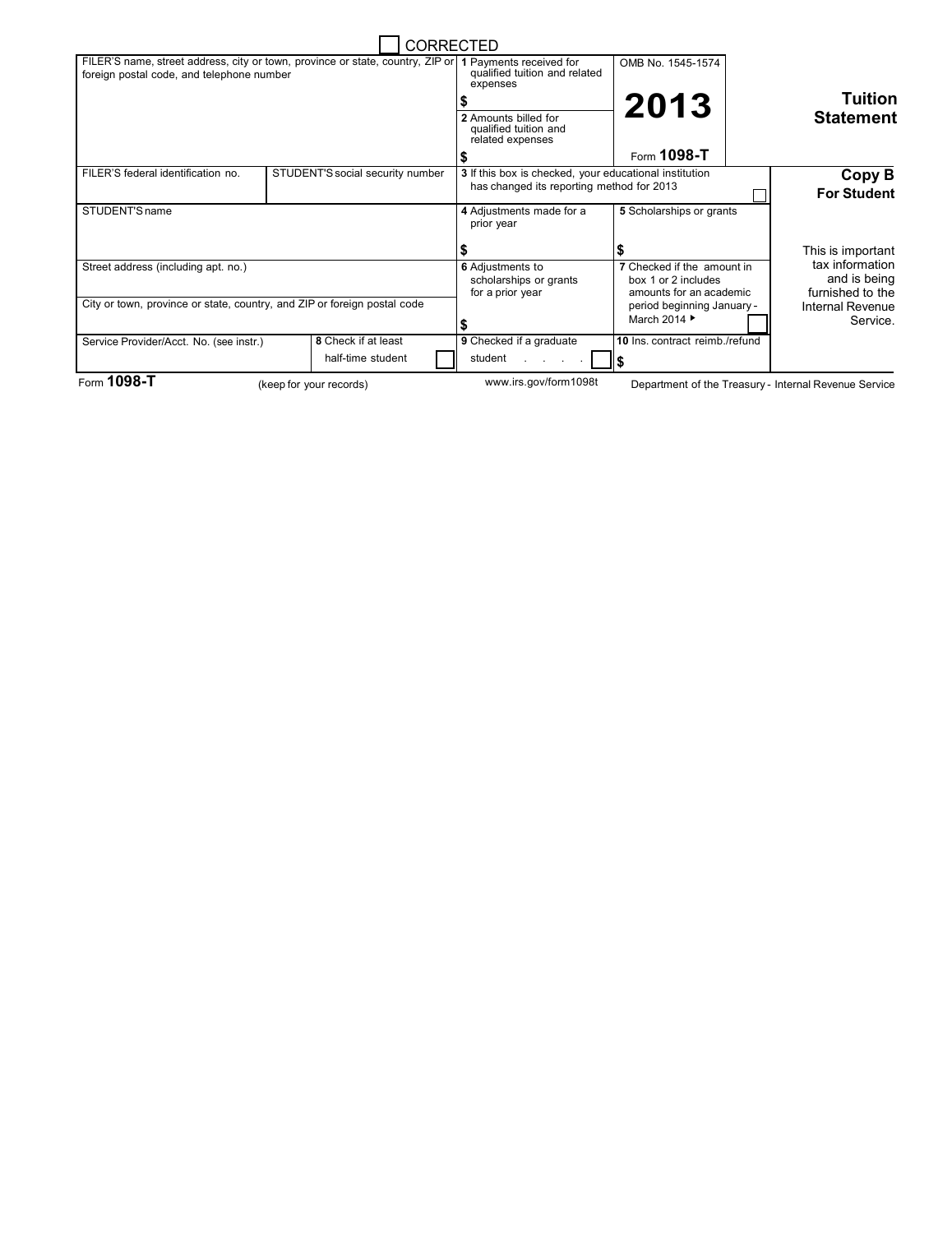|                                                                                                                             |                                  |                       | <b>CORRECTED</b>                                                                                    |                                                                                                            |  |                                                                         |
|-----------------------------------------------------------------------------------------------------------------------------|----------------------------------|-----------------------|-----------------------------------------------------------------------------------------------------|------------------------------------------------------------------------------------------------------------|--|-------------------------------------------------------------------------|
| FILER'S name, street address, city or town, province or state, country, ZIP or<br>foreign postal code, and telephone number |                                  |                       | 1 Payments received for<br>qualified tuition and related<br>expenses                                | OMB No. 1545-1574<br>2013                                                                                  |  | <b>Tuition</b>                                                          |
|                                                                                                                             |                                  |                       | 2 Amounts billed for<br>qualified tuition and<br>related expenses                                   |                                                                                                            |  | <b>Statement</b>                                                        |
|                                                                                                                             |                                  |                       |                                                                                                     | Form 1098-T                                                                                                |  |                                                                         |
| FILER'S federal identification no.                                                                                          | STUDENT'S social security number |                       | 3 If this box is checked, your educational institution<br>has changed its reporting method for 2013 |                                                                                                            |  | Copy B<br><b>For Student</b>                                            |
| STUDENT'S name                                                                                                              |                                  |                       | 4 Adjustments made for a<br>prior year                                                              | 5 Scholarships or grants                                                                                   |  |                                                                         |
|                                                                                                                             |                                  |                       |                                                                                                     |                                                                                                            |  | This is important                                                       |
| Street address (including apt. no.)<br>City or town, province or state, country, and ZIP or foreign postal code             |                                  |                       | <b>6</b> Adjustments to<br>scholarships or grants<br>for a prior year                               | 7 Checked if the amount in<br>box 1 or 2 includes<br>amounts for an academic<br>period beginning January - |  | tax information<br>and is being<br>furnished to the<br>Internal Revenue |
|                                                                                                                             |                                  |                       |                                                                                                     | March 2014 ▶                                                                                               |  | Service.                                                                |
| Service Provider/Acct. No. (see instr.)                                                                                     | 8 Check if at least              |                       | 9 Checked if a graduate                                                                             | 10 Ins. contract reimb./refund                                                                             |  |                                                                         |
|                                                                                                                             | half-time student                |                       | student                                                                                             | ll \$                                                                                                      |  |                                                                         |
| Form 1098-T<br>(keep for your records)                                                                                      |                                  | www.irs.gov/form1098t | Department of the Treasury - Internal Revenue Service                                               |                                                                                                            |  |                                                                         |